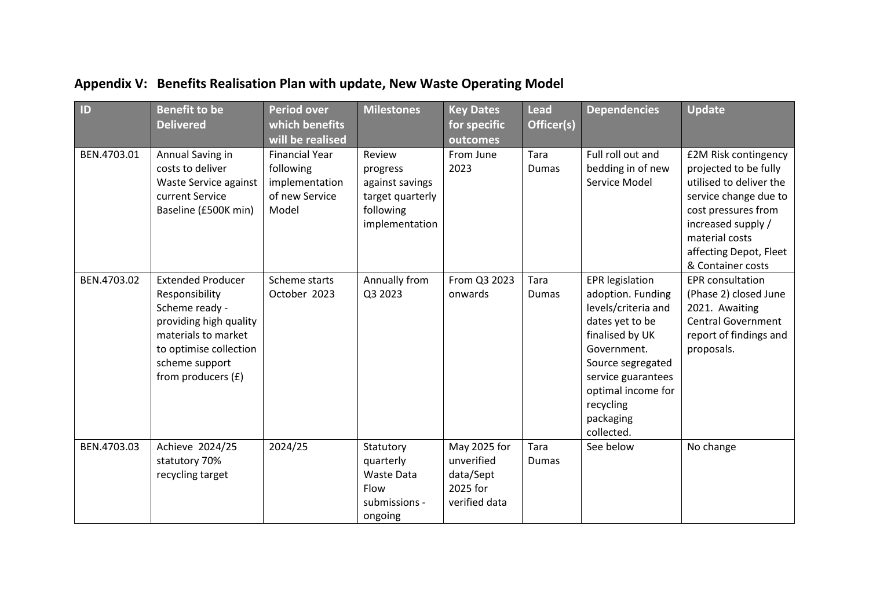| ID          | <b>Benefit to be</b><br><b>Delivered</b>                                                                                                                                          | <b>Period over</b><br>which benefits<br>will be realised                        | <b>Milestones</b>                                                                        | <b>Key Dates</b><br>for specific<br>outcomes                         | <b>Lead</b><br>Officer(s) | <b>Dependencies</b>                                                                                                                                                                                                              | <b>Update</b>                                                                                                                                                                                                   |
|-------------|-----------------------------------------------------------------------------------------------------------------------------------------------------------------------------------|---------------------------------------------------------------------------------|------------------------------------------------------------------------------------------|----------------------------------------------------------------------|---------------------------|----------------------------------------------------------------------------------------------------------------------------------------------------------------------------------------------------------------------------------|-----------------------------------------------------------------------------------------------------------------------------------------------------------------------------------------------------------------|
| BEN.4703.01 | Annual Saving in<br>costs to deliver<br>Waste Service against<br>current Service<br>Baseline (£500K min)                                                                          | <b>Financial Year</b><br>following<br>implementation<br>of new Service<br>Model | Review<br>progress<br>against savings<br>target quarterly<br>following<br>implementation | From June<br>2023                                                    | Tara<br>Dumas             | Full roll out and<br>bedding in of new<br>Service Model                                                                                                                                                                          | £2M Risk contingency<br>projected to be fully<br>utilised to deliver the<br>service change due to<br>cost pressures from<br>increased supply /<br>material costs<br>affecting Depot, Fleet<br>& Container costs |
| BEN.4703.02 | <b>Extended Producer</b><br>Responsibility<br>Scheme ready -<br>providing high quality<br>materials to market<br>to optimise collection<br>scheme support<br>from producers $(f)$ | Scheme starts<br>October 2023                                                   | Annually from<br>Q3 2023                                                                 | From Q3 2023<br>onwards                                              | Tara<br>Dumas             | <b>EPR</b> legislation<br>adoption. Funding<br>levels/criteria and<br>dates yet to be<br>finalised by UK<br>Government.<br>Source segregated<br>service guarantees<br>optimal income for<br>recycling<br>packaging<br>collected. | <b>EPR</b> consultation<br>(Phase 2) closed June<br>2021. Awaiting<br><b>Central Government</b><br>report of findings and<br>proposals.                                                                         |
| BEN.4703.03 | Achieve 2024/25<br>statutory 70%<br>recycling target                                                                                                                              | 2024/25                                                                         | Statutory<br>quarterly<br>Waste Data<br>Flow<br>submissions -<br>ongoing                 | May 2025 for<br>unverified<br>data/Sept<br>2025 for<br>verified data | Tara<br>Dumas             | See below                                                                                                                                                                                                                        | No change                                                                                                                                                                                                       |

## **Appendix V: Benefits Realisation Plan with update, New Waste Operating Model**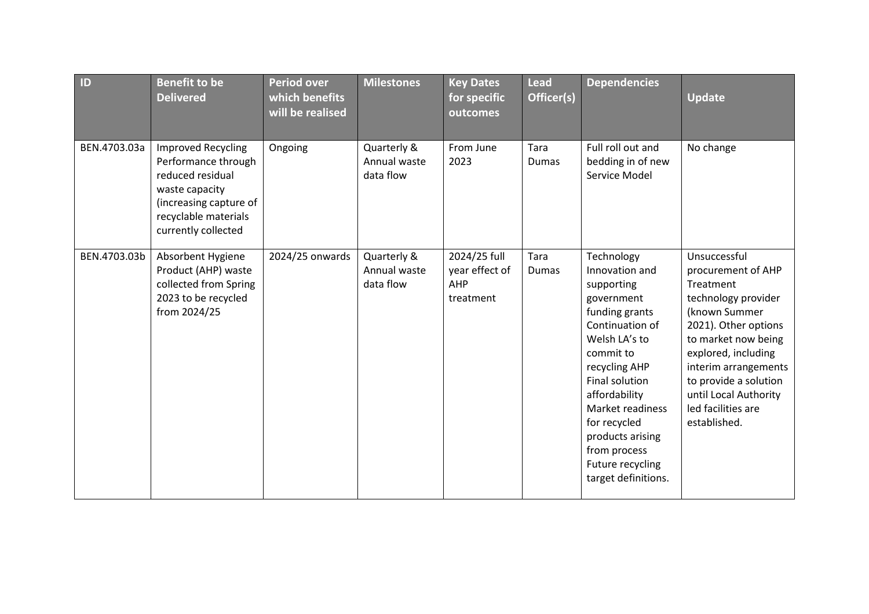| ID           | <b>Benefit to be</b><br><b>Delivered</b>                                                                                                                        | <b>Period over</b><br>which benefits<br>will be realised | <b>Milestones</b>                        | <b>Key Dates</b><br>for specific<br>outcomes       | <b>Lead</b><br>Officer(s) | <b>Dependencies</b>                                                                                                                                                                                                                                                                                | <b>Update</b>                                                                                                                                                                                                                                                                 |
|--------------|-----------------------------------------------------------------------------------------------------------------------------------------------------------------|----------------------------------------------------------|------------------------------------------|----------------------------------------------------|---------------------------|----------------------------------------------------------------------------------------------------------------------------------------------------------------------------------------------------------------------------------------------------------------------------------------------------|-------------------------------------------------------------------------------------------------------------------------------------------------------------------------------------------------------------------------------------------------------------------------------|
| BEN.4703.03a | <b>Improved Recycling</b><br>Performance through<br>reduced residual<br>waste capacity<br>(increasing capture of<br>recyclable materials<br>currently collected | Ongoing                                                  | Quarterly &<br>Annual waste<br>data flow | From June<br>2023                                  | Tara<br>Dumas             | Full roll out and<br>bedding in of new<br>Service Model                                                                                                                                                                                                                                            | No change                                                                                                                                                                                                                                                                     |
| BEN.4703.03b | Absorbent Hygiene<br>Product (AHP) waste<br>collected from Spring<br>2023 to be recycled<br>from 2024/25                                                        | 2024/25 onwards                                          | Quarterly &<br>Annual waste<br>data flow | 2024/25 full<br>year effect of<br>AHP<br>treatment | Tara<br>Dumas             | Technology<br>Innovation and<br>supporting<br>government<br>funding grants<br>Continuation of<br>Welsh LA's to<br>commit to<br>recycling AHP<br>Final solution<br>affordability<br>Market readiness<br>for recycled<br>products arising<br>from process<br>Future recycling<br>target definitions. | Unsuccessful<br>procurement of AHP<br>Treatment<br>technology provider<br>(known Summer<br>2021). Other options<br>to market now being<br>explored, including<br>interim arrangements<br>to provide a solution<br>until Local Authority<br>led facilities are<br>established. |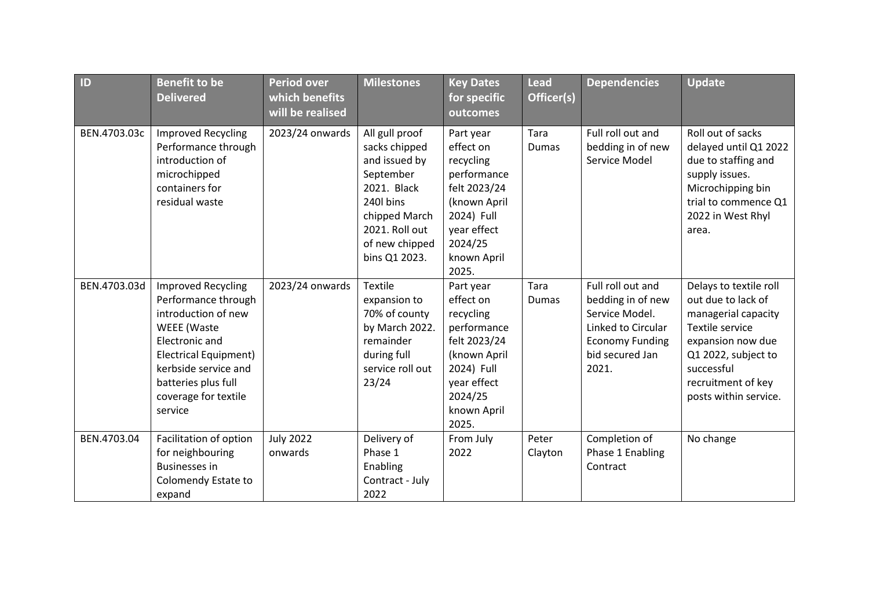| ID           | <b>Benefit to be</b><br><b>Delivered</b>                                                                                                                                                                                          | <b>Period over</b><br>which benefits<br>will be realised | <b>Milestones</b>                                                                                                                                               | <b>Key Dates</b><br>for specific<br>outcomes                                                                                                       | <b>Lead</b><br>Officer(s) | <b>Dependencies</b>                                                                                                                  | <b>Update</b>                                                                                                                                                                                   |
|--------------|-----------------------------------------------------------------------------------------------------------------------------------------------------------------------------------------------------------------------------------|----------------------------------------------------------|-----------------------------------------------------------------------------------------------------------------------------------------------------------------|----------------------------------------------------------------------------------------------------------------------------------------------------|---------------------------|--------------------------------------------------------------------------------------------------------------------------------------|-------------------------------------------------------------------------------------------------------------------------------------------------------------------------------------------------|
| BEN.4703.03c | <b>Improved Recycling</b><br>Performance through<br>introduction of<br>microchipped<br>containers for<br>residual waste                                                                                                           | 2023/24 onwards                                          | All gull proof<br>sacks chipped<br>and issued by<br>September<br>2021. Black<br>240l bins<br>chipped March<br>2021. Roll out<br>of new chipped<br>bins Q1 2023. | Part year<br>effect on<br>recycling<br>performance<br>felt 2023/24<br>(known April<br>2024) Full<br>year effect<br>2024/25<br>known April<br>2025. | Tara<br>Dumas             | Full roll out and<br>bedding in of new<br>Service Model                                                                              | Roll out of sacks<br>delayed until Q1 2022<br>due to staffing and<br>supply issues.<br>Microchipping bin<br>trial to commence Q1<br>2022 in West Rhyl<br>area.                                  |
| BEN.4703.03d | <b>Improved Recycling</b><br>Performance through<br>introduction of new<br><b>WEEE</b> (Waste<br>Electronic and<br><b>Electrical Equipment)</b><br>kerbside service and<br>batteries plus full<br>coverage for textile<br>service | 2023/24 onwards                                          | <b>Textile</b><br>expansion to<br>70% of county<br>by March 2022.<br>remainder<br>during full<br>service roll out<br>23/24                                      | Part year<br>effect on<br>recycling<br>performance<br>felt 2023/24<br>(known April<br>2024) Full<br>year effect<br>2024/25<br>known April<br>2025. | Tara<br><b>Dumas</b>      | Full roll out and<br>bedding in of new<br>Service Model.<br>Linked to Circular<br><b>Economy Funding</b><br>bid secured Jan<br>2021. | Delays to textile roll<br>out due to lack of<br>managerial capacity<br>Textile service<br>expansion now due<br>Q1 2022, subject to<br>successful<br>recruitment of key<br>posts within service. |
| BEN.4703.04  | Facilitation of option<br>for neighbouring<br><b>Businesses in</b><br>Colomendy Estate to<br>expand                                                                                                                               | <b>July 2022</b><br>onwards                              | Delivery of<br>Phase 1<br>Enabling<br>Contract - July<br>2022                                                                                                   | From July<br>2022                                                                                                                                  | Peter<br>Clayton          | Completion of<br>Phase 1 Enabling<br>Contract                                                                                        | No change                                                                                                                                                                                       |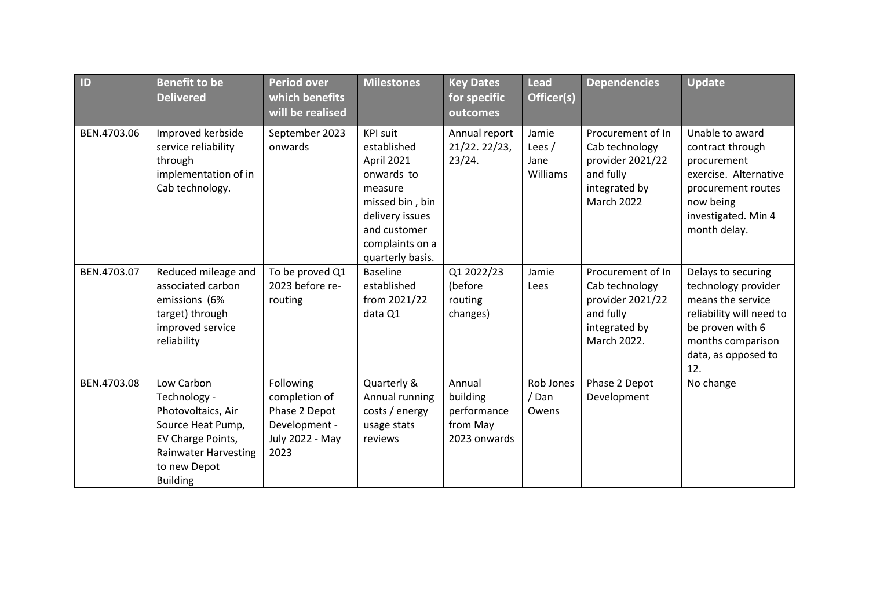| ID          | <b>Benefit to be</b><br><b>Delivered</b>                                                                                                                     | <b>Period over</b><br>which benefits<br>will be realised                                | <b>Milestones</b>                                                                                                                                                  | <b>Key Dates</b><br>for specific<br>outcomes                  | <b>Lead</b><br>Officer(s)             | <b>Dependencies</b>                                                                                        | <b>Update</b>                                                                                                                                                     |
|-------------|--------------------------------------------------------------------------------------------------------------------------------------------------------------|-----------------------------------------------------------------------------------------|--------------------------------------------------------------------------------------------------------------------------------------------------------------------|---------------------------------------------------------------|---------------------------------------|------------------------------------------------------------------------------------------------------------|-------------------------------------------------------------------------------------------------------------------------------------------------------------------|
| BEN.4703.06 | Improved kerbside<br>service reliability<br>through<br>implementation of in<br>Cab technology.                                                               | September 2023<br>onwards                                                               | <b>KPI suit</b><br>established<br>April 2021<br>onwards to<br>measure<br>missed bin, bin<br>delivery issues<br>and customer<br>complaints on a<br>quarterly basis. | Annual report<br>21/22. 22/23,<br>23/24.                      | Jamie<br>Lees $/$<br>Jane<br>Williams | Procurement of In<br>Cab technology<br>provider 2021/22<br>and fully<br>integrated by<br><b>March 2022</b> | Unable to award<br>contract through<br>procurement<br>exercise. Alternative<br>procurement routes<br>now being<br>investigated. Min 4<br>month delay.             |
| BEN.4703.07 | Reduced mileage and<br>associated carbon<br>emissions (6%<br>target) through<br>improved service<br>reliability                                              | To be proved Q1<br>2023 before re-<br>routing                                           | <b>Baseline</b><br>established<br>from 2021/22<br>data Q1                                                                                                          | Q1 2022/23<br>(before<br>routing<br>changes)                  | Jamie<br>Lees                         | Procurement of In<br>Cab technology<br>provider 2021/22<br>and fully<br>integrated by<br>March 2022.       | Delays to securing<br>technology provider<br>means the service<br>reliability will need to<br>be proven with 6<br>months comparison<br>data, as opposed to<br>12. |
| BEN.4703.08 | Low Carbon<br>Technology -<br>Photovoltaics, Air<br>Source Heat Pump,<br>EV Charge Points,<br><b>Rainwater Harvesting</b><br>to new Depot<br><b>Building</b> | Following<br>completion of<br>Phase 2 Depot<br>Development -<br>July 2022 - May<br>2023 | Quarterly &<br>Annual running<br>costs / energy<br>usage stats<br>reviews                                                                                          | Annual<br>building<br>performance<br>from May<br>2023 onwards | Rob Jones<br>/ Dan<br>Owens           | Phase 2 Depot<br>Development                                                                               | No change                                                                                                                                                         |